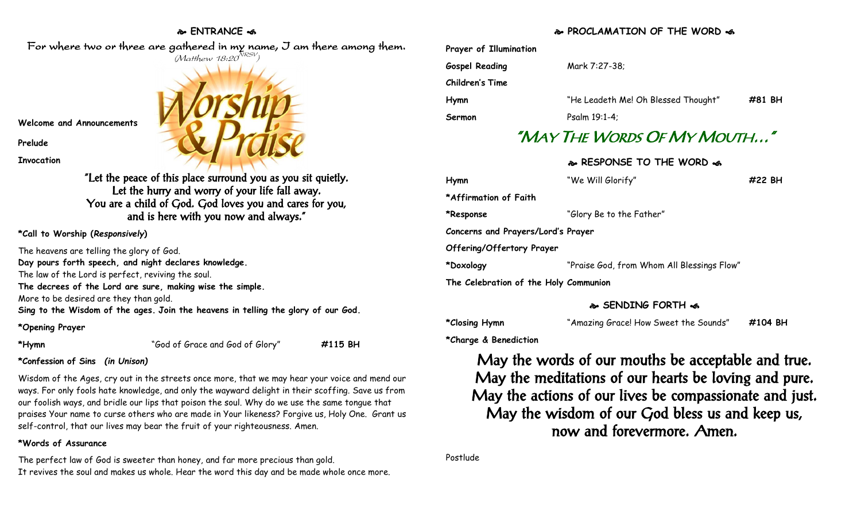# **ENTRANCE**



| Prayer of Illumination |                                     |        |
|------------------------|-------------------------------------|--------|
| <b>Gospel Reading</b>  | Mark 7:27-38;                       |        |
| Children's Time        |                                     |        |
| <b>Hymn</b>            | "He Leadeth Me! Oh Blessed Thought" | #81 BH |
| Sermon                 | Psalm 19:1-4;                       |        |
|                        |                                     |        |

# "MAY THE WORDS OF MY MOUTH…"

# **RESPONSE TO THE WORD**

| Hymn                                  | "We Will Glorify"                          | #22 BH |  |  |
|---------------------------------------|--------------------------------------------|--------|--|--|
| *Affirmation of Faith                 |                                            |        |  |  |
| *Response                             | "Glory Be to the Father"                   |        |  |  |
| Concerns and Prayers/Lord's Prayer    |                                            |        |  |  |
| Offering/Offertory Prayer             |                                            |        |  |  |
| *Doxology                             | "Praise God, from Whom All Blessings Flow" |        |  |  |
| The Celebration of the Holy Communion |                                            |        |  |  |

# **SENDING FORTH**

| *Closing Hymn | "Amazing Grace! How Sweet the Sounds" | #104 BH |
|---------------|---------------------------------------|---------|
|---------------|---------------------------------------|---------|

**\*Charge & Benediction**

May the words of our mouths be acceptable and true. May the meditations of our hearts be loving and pure. May the actions of our lives be compassionate and just. May the wisdom of our God bless us and keep us, now and forevermore. Amen.

Postlude

For where two or three are gathered in my name, I am there among them.  $(M$ atthew 18:20 $^{NRSV})$ 

**Welcome and Announcements**

**Prelude**

**Invocation**

"Let the peace of this place surround you as you sit quietly. Let the hurry and worry of your life fall away. You are a child of God. God loves you and cares for you, and is here with you now and always."

**\*Call to Worship (***Responsively***)** 

The heavens are telling the glory of God. **Day pours forth speech, and night declares knowledge.** The law of the Lord is perfect, reviving the soul. **The decrees of the Lord are sure, making wise the simple.** More to be desired are they than gold. **Sing to the Wisdom of the ages. Join the heavens in telling the glory of our God.**

# **\*Opening Prayer**

**\*Hymn** "God of Grace and God of Glory" **#115 BH**

# **\*Confession of Sins** *(in Unison)*

Wisdom of the Ages, cry out in the streets once more, that we may hear your voice and mend our ways. For only fools hate knowledge, and only the wayward delight in their scoffing. Save us from our foolish ways, and bridle our lips that poison the soul. Why do we use the same tongue that praises Your name to curse others who are made in Your likeness? Forgive us, Holy One. Grant us self-control, that our lives may bear the fruit of your righteousness. Amen.

# **\*Words of Assurance**

The perfect law of God is sweeter than honey, and far more precious than gold. It revives the soul and makes us whole. Hear the word this day and be made whole once more.